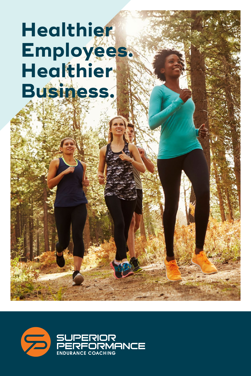# **Healthier Employees. Healthier Business.**

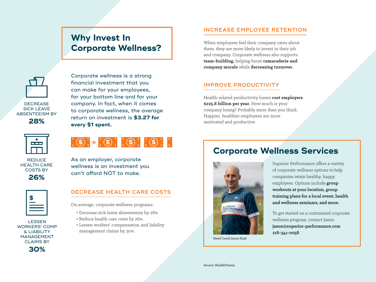## **Why Invest In Corporate Wellness?**



**DECREASE** SICK LEAVE ABSENTEEISM BY

**28%**



**REDUCE** HEALTH CARE COSTS BY **26%**



LESSEN WORKERS' COMP & LIABILITY MANAGEMENT CLAIMS BY **30%**

Corporate wellness is a strong financial investment that you can make for your employees, for your bottom line and for your company. In fact, when it comes to corporate wellness, the average return on investment is **\$3.27 for every \$1 spent.** 



As an employer, corporate wellness is an investment you can't afford NOT to make.

#### **DECREASE HEALTH CARE COSTS**

On average, corporate wellness programs:

- Decrease sick leave absenteeism by 28%.
- Reduce health care costs by 26%.
- Lessen workers' compensation and liability management claims by 30%.

#### **INCREASE EMPLOYEE RETENTION**

When employees feel their company cares about them, they are more likely to invest in their job and company. Corporate wellness also supports **team-building,** helping boost **camaraderie and company morale** while **decreasing turnover.**

#### **IMPROVE PRODUCTIVITY**

Health-related productivity losses **cost employers \$225.8 billion per year.** How much is your company losing? Probably more than you think. Happier, healthier employees are more motivated and productive.

## **Corporate Wellness Services**



Head Coach Jason Kask

Superior Performance offers a variety of corporate wellness options to help companies retain healthy, happy employees. Options include **group workouts at your location, group training plans for a local event, health and wellness seminars, and more.**

To get started on a customized corporate wellness program, contact Jason: **jason@superior-performance.com 218-341-0058**